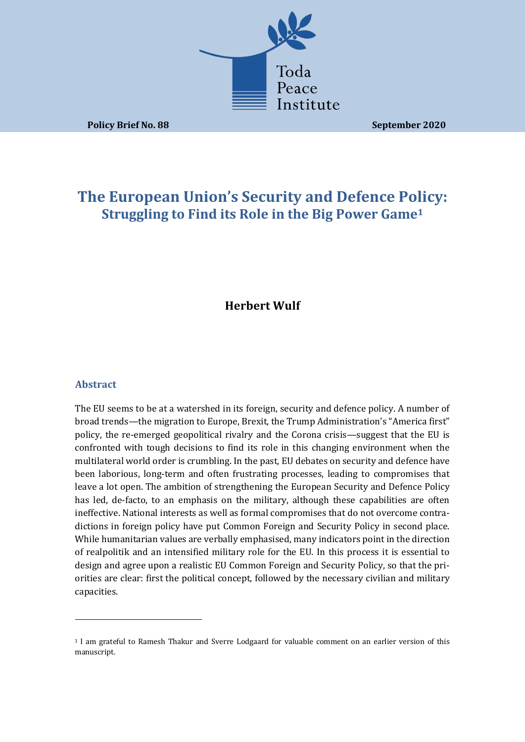

**Policy Brief No. 88 September 2020** 

# **The European Union's Security and Defence Policy: Struggling to Find its Role in the Big Power Game<sup>1</sup>**

## **Herbert Wulf**

## **Abstract**

The EU seems to be at a watershed in its foreign, security and defence policy. A number of broad trends—the migration to Europe, Brexit, the Trump Administration's "America first" policy, the re-emerged geopolitical rivalry and the Corona crisis—suggest that the EU is confronted with tough decisions to find its role in this changing environment when the multilateral world order is crumbling. In the past, EU debates on security and defence have been laborious, long-term and often frustrating processes, leading to compromises that leave a lot open. The ambition of strengthening the European Security and Defence Policy has led, de-facto, to an emphasis on the military, although these capabilities are often ineffective. National interests as well as formal compromises that do not overcome contradictions in foreign policy have put Common Foreign and Security Policy in second place. While humanitarian values are verbally emphasised, many indicators point in the direction of realpolitik and an intensified military role for the EU. In this process it is essential to design and agree upon a realistic EU Common Foreign and Security Policy, so that the priorities are clear: first the political concept, followed by the necessary civilian and military capacities. 

<sup>&</sup>lt;sup>1</sup> I am grateful to Ramesh Thakur and Sverre Lodgaard for valuable comment on an earlier version of this manuscript.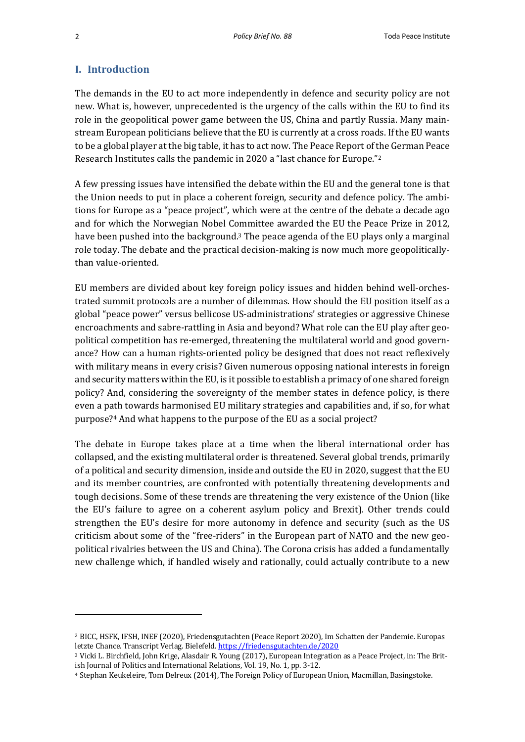#### **I. Introduction**

The demands in the EU to act more independently in defence and security policy are not new. What is, however, unprecedented is the urgency of the calls within the EU to find its role in the geopolitical power game between the US, China and partly Russia. Many mainstream European politicians believe that the EU is currently at a cross roads. If the EU wants to be a global player at the big table, it has to act now. The Peace Report of the German Peace Research Institutes calls the pandemic in 2020 a "last chance for Europe."<sup>2</sup>

A few pressing issues have intensified the debate within the EU and the general tone is that the Union needs to put in place a coherent foreign, security and defence policy. The ambitions for Europe as a "peace project", which were at the centre of the debate a decade ago and for which the Norwegian Nobel Committee awarded the EU the Peace Prize in 2012, have been pushed into the background.<sup>3</sup> The peace agenda of the EU plays only a marginal role today. The debate and the practical decision-making is now much more geopoliticallythan value-oriented.

EU members are divided about key foreign policy issues and hidden behind well-orchestrated summit protocols are a number of dilemmas. How should the EU position itself as a global "peace power" versus bellicose US-administrations' strategies or aggressive Chinese encroachments and sabre-rattling in Asia and beyond? What role can the EU play after geopolitical competition has re-emerged, threatening the multilateral world and good governance? How can a human rights-oriented policy be designed that does not react reflexively with military means in every crisis? Given numerous opposing national interests in foreign and security matters within the EU, is it possible to establish a primacy of one shared foreign policy? And, considering the sovereignty of the member states in defence policy, is there even a path towards harmonised EU military strategies and capabilities and, if so, for what purpose?<sup>4</sup> And what happens to the purpose of the EU as a social project?

The debate in Europe takes place at a time when the liberal international order has collapsed, and the existing multilateral order is threatened. Several global trends, primarily of a political and security dimension, inside and outside the EU in 2020, suggest that the EU and its member countries, are confronted with potentially threatening developments and tough decisions. Some of these trends are threatening the very existence of the Union (like the EU's failure to agree on a coherent asylum policy and Brexit). Other trends could strengthen the EU's desire for more autonomy in defence and security (such as the US criticism about some of the "free-riders" in the European part of NATO and the new geopolitical rivalries between the US and China). The Corona crisis has added a fundamentally new challenge which, if handled wisely and rationally, could actually contribute to a new

<sup>&</sup>lt;sup>2</sup> BICC, HSFK, IFSH, INEF (2020), Friedensgutachten (Peace Report 2020), Im Schatten der Pandemie. Europas letzte Chance. Transcript Verlag. Bielefeld. https://friedensgutachten.de/2020

<sup>&</sup>lt;sup>3</sup> Vicki L. Birchfield, John Krige, Alasdair R. Young (2017), European Integration as a Peace Project, in: The British Journal of Politics and International Relations, Vol. 19, No. 1, pp. 3-12.

<sup>&</sup>lt;sup>4</sup> Stephan Keukeleire, Tom Delreux (2014), The Foreign Policy of European Union, Macmillan, Basingstoke.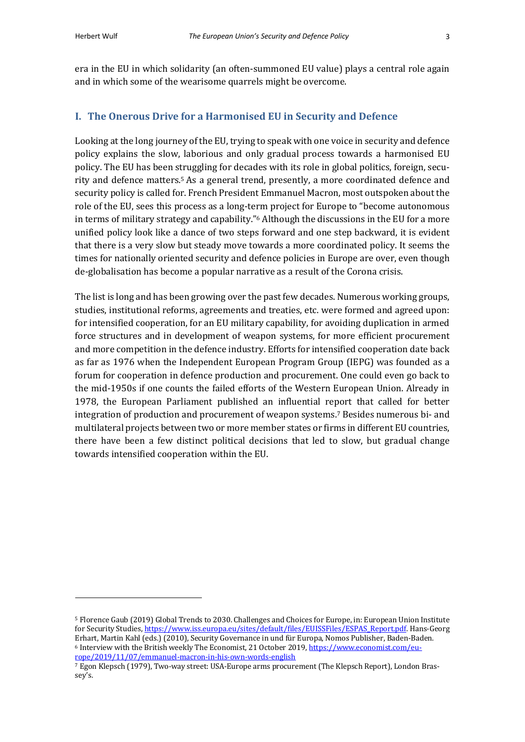era in the EU in which solidarity (an often-summoned EU value) plays a central role again and in which some of the wearisome quarrels might be overcome.

### **I.** The Onerous Drive for a Harmonised EU in Security and Defence

Looking at the long journey of the EU, trying to speak with one voice in security and defence policy explains the slow, laborious and only gradual process towards a harmonised EU policy. The EU has been struggling for decades with its role in global politics, foreign, security and defence matters.<sup>5</sup> As a general trend, presently, a more coordinated defence and security policy is called for. French President Emmanuel Macron, most outspoken about the role of the EU, sees this process as a long-term project for Europe to "become autonomous" in terms of military strategy and capability." $6$  Although the discussions in the EU for a more unified policy look like a dance of two steps forward and one step backward, it is evident that there is a very slow but steady move towards a more coordinated policy. It seems the times for nationally oriented security and defence policies in Europe are over, even though de-globalisation has become a popular narrative as a result of the Corona crisis.

The list is long and has been growing over the past few decades. Numerous working groups, studies, institutional reforms, agreements and treaties, etc. were formed and agreed upon: for intensified cooperation, for an EU military capability, for avoiding duplication in armed force structures and in development of weapon systems, for more efficient procurement and more competition in the defence industry. Efforts for intensified cooperation date back as far as 1976 when the Independent European Program Group (IEPG) was founded as a forum for cooperation in defence production and procurement. One could even go back to the mid-1950s if one counts the failed efforts of the Western European Union. Already in 1978, the European Parliament published an influential report that called for better integration of production and procurement of weapon systems.<sup>7</sup> Besides numerous bi- and multilateral projects between two or more member states or firms in different EU countries, there have been a few distinct political decisions that led to slow, but gradual change towards intensified cooperation within the EU.

<sup>&</sup>lt;sup>5</sup> Florence Gaub (2019) Global Trends to 2030. Challenges and Choices for Europe, in: European Union Institute for Security Studies, https://www.iss.europa.eu/sites/default/files/EUISSFiles/ESPAS\_Report.pdf. Hans-Georg Erhart, Martin Kahl (eds.) (2010), Security Governance in und für Europa, Nomos Publisher, Baden-Baden. <sup>6</sup> Interview with the British weekly The Economist, 21 October 2019, https://www.economist.com/europe/2019/11/07/emmanuel-macron-in-his-own-words-english

<sup>&</sup>lt;sup>7</sup> Egon Klepsch (1979), Two-way street: USA-Europe arms procurement (The Klepsch Report), London Brassey's.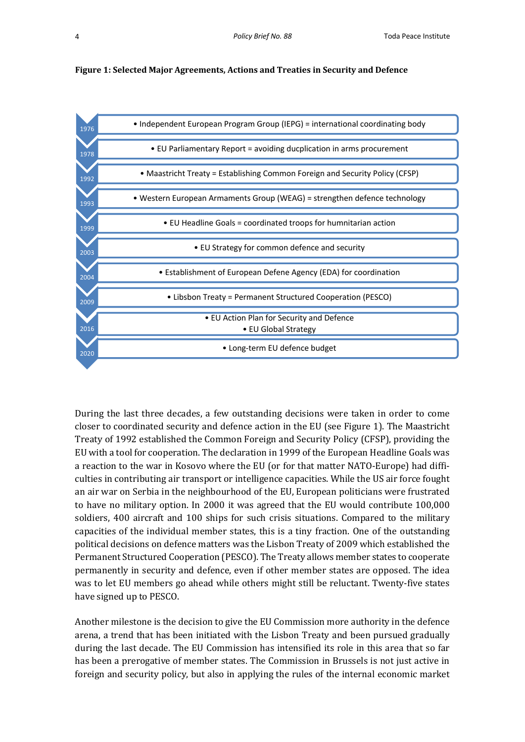



During the last three decades, a few outstanding decisions were taken in order to come closer to coordinated security and defence action in the EU (see Figure 1). The Maastricht Treaty of 1992 established the Common Foreign and Security Policy (CFSP), providing the EU with a tool for cooperation. The declaration in 1999 of the European Headline Goals was a reaction to the war in Kosovo where the EU (or for that matter NATO-Europe) had difficulties in contributing air transport or intelligence capacities. While the US air force fought an air war on Serbia in the neighbourhood of the EU, European politicians were frustrated to have no military option. In 2000 it was agreed that the EU would contribute 100,000 soldiers, 400 aircraft and 100 ships for such crisis situations. Compared to the military capacities of the individual member states, this is a tiny fraction. One of the outstanding political decisions on defence matters was the Lisbon Treaty of 2009 which established the Permanent Structured Cooperation (PESCO). The Treaty allows member states to cooperate permanently in security and defence, even if other member states are opposed. The idea was to let EU members go ahead while others might still be reluctant. Twenty-five states have signed up to PESCO.

Another milestone is the decision to give the EU Commission more authority in the defence arena, a trend that has been initiated with the Lisbon Treaty and been pursued gradually during the last decade. The EU Commission has intensified its role in this area that so far has been a prerogative of member states. The Commission in Brussels is not just active in foreign and security policy, but also in applying the rules of the internal economic market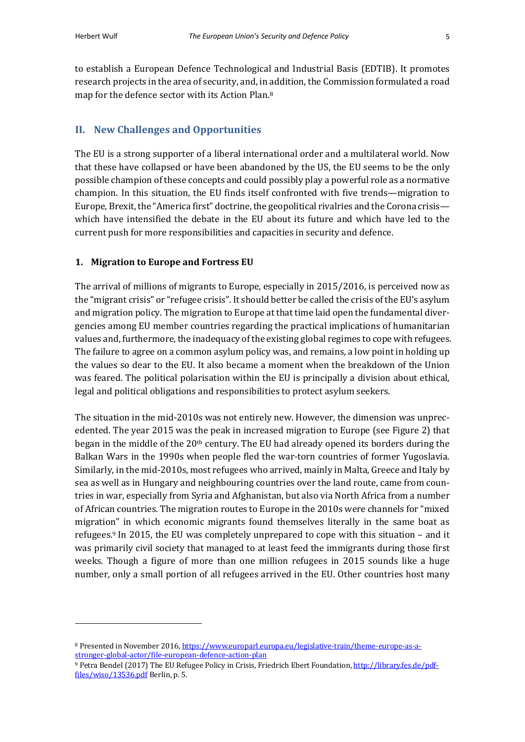to establish a European Defence Technological and Industrial Basis (EDTIB). It promotes research projects in the area of security, and, in addition, the Commission formulated a road map for the defence sector with its Action Plan.<sup>8</sup>

## **II. New Challenges and Opportunities**

The EU is a strong supporter of a liberal international order and a multilateral world. Now that these have collapsed or have been abandoned by the US, the EU seems to be the only possible champion of these concepts and could possibly play a powerful role as a normative champion. In this situation, the EU finds itself confronted with five trends—migration to Europe, Brexit, the "America first" doctrine, the geopolitical rivalries and the Corona crisis which have intensified the debate in the EU about its future and which have led to the current push for more responsibilities and capacities in security and defence.

#### **1. Migration to Europe and Fortress EU**

The arrival of millions of migrants to Europe, especially in  $2015/2016$ , is perceived now as the "migrant crisis" or "refugee crisis". It should better be called the crisis of the EU's asylum and migration policy. The migration to Europe at that time laid open the fundamental divergencies among EU member countries regarding the practical implications of humanitarian values and, furthermore, the inadequacy of the existing global regimes to cope with refugees. The failure to agree on a common asylum policy was, and remains, a low point in holding up the values so dear to the EU. It also became a moment when the breakdown of the Union was feared. The political polarisation within the EU is principally a division about ethical, legal and political obligations and responsibilities to protect asylum seekers.

The situation in the mid-2010s was not entirely new. However, the dimension was unprecedented. The year 2015 was the peak in increased migration to Europe (see Figure 2) that began in the middle of the  $20<sup>th</sup>$  century. The EU had already opened its borders during the Balkan Wars in the 1990s when people fled the war-torn countries of former Yugoslavia. Similarly, in the mid-2010s, most refugees who arrived, mainly in Malta, Greece and Italy by sea as well as in Hungary and neighbouring countries over the land route, came from countries in war, especially from Syria and Afghanistan, but also via North Africa from a number of African countries. The migration routes to Europe in the 2010s were channels for "mixed" migration" in which economic migrants found themselves literally in the same boat as refugees. $9 \text{ In } 2015$ , the EU was completely unprepared to cope with this situation – and it was primarily civil society that managed to at least feed the immigrants during those first weeks. Though a figure of more than one million refugees in 2015 sounds like a huge number, only a small portion of all refugees arrived in the EU. Other countries host many

<sup>8</sup> Presented in November 2016, https://www.europarl.europa.eu/legislative-train/theme-europe-as-astronger-global-actor/file-european-defence-action-plan

<sup>9</sup> Petra Bendel (2017) The EU Refugee Policy in Crisis, Friedrich Ebert Foundation, http://library.fes.de/pdffiles/wiso/13536.pdf Berlin, p. 5.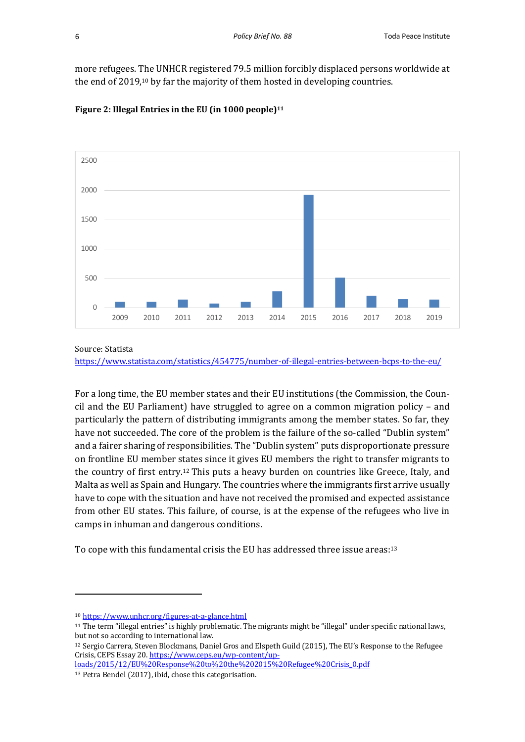more refugees. The UNHCR registered 79.5 million forcibly displaced persons worldwide at the end of 2019,<sup>10</sup> by far the majority of them hosted in developing countries.





Source: Statista

https://www.statista.com/statistics/454775/number-of-illegal-entries-between-bcps-to-the-eu/

For a long time, the EU member states and their EU institutions (the Commission, the Council and the EU Parliament) have struggled to agree on a common migration policy  $-$  and particularly the pattern of distributing immigrants among the member states. So far, they have not succeeded. The core of the problem is the failure of the so-called "Dublin system" and a fairer sharing of responsibilities. The "Dublin system" puts disproportionate pressure on frontline EU member states since it gives EU members the right to transfer migrants to the country of first entry.<sup>12</sup> This puts a heavy burden on countries like Greece, Italy, and Malta as well as Spain and Hungary. The countries where the immigrants first arrive usually have to cope with the situation and have not received the promised and expected assistance from other EU states. This failure, of course, is at the expense of the refugees who live in camps in inhuman and dangerous conditions.

To cope with this fundamental crisis the EU has addressed three issue areas:<sup>13</sup>

<sup>10</sup> https://www.unhcr.org/figures-at-a-glance.html

<sup>&</sup>lt;sup>11</sup> The term "illegal entries" is highly problematic. The migrants might be "illegal" under specific national laws, but not so according to international law.

<sup>&</sup>lt;sup>12</sup> Sergio Carrera, Steven Blockmans, Daniel Gros and Elspeth Guild (2015), The EU's Response to the Refugee Crisis, CEPS Essay 20. https://www.ceps.eu/wp-content/up-

loads/2015/12/EU%20Response%20to%20the%202015%20Refugee%20Crisis\_0.pdf <sup>13</sup> Petra Bendel (2017), ibid, chose this categorisation.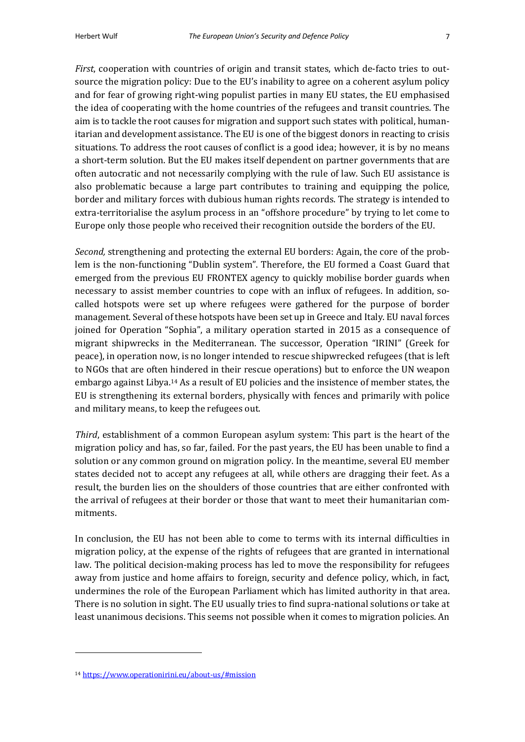*First*, cooperation with countries of origin and transit states, which de-facto tries to outsource the migration policy: Due to the EU's inability to agree on a coherent asylum policy and for fear of growing right-wing populist parties in many EU states, the EU emphasised the idea of cooperating with the home countries of the refugees and transit countries. The aim is to tackle the root causes for migration and support such states with political, humanitarian and development assistance. The EU is one of the biggest donors in reacting to crisis situations. To address the root causes of conflict is a good idea; however, it is by no means a short-term solution. But the EU makes itself dependent on partner governments that are often autocratic and not necessarily complying with the rule of law. Such EU assistance is also problematic because a large part contributes to training and equipping the police, border and military forces with dubious human rights records. The strategy is intended to extra-territorialise the asylum process in an "offshore procedure" by trying to let come to Europe only those people who received their recognition outside the borders of the EU.

*Second,* strengthening and protecting the external EU borders: Again, the core of the problem is the non-functioning "Dublin system". Therefore, the EU formed a Coast Guard that emerged from the previous EU FRONTEX agency to quickly mobilise border guards when necessary to assist member countries to cope with an influx of refugees. In addition, socalled hotspots were set up where refugees were gathered for the purpose of border management. Several of these hotspots have been set up in Greece and Italy. EU naval forces joined for Operation "Sophia", a military operation started in 2015 as a consequence of migrant shipwrecks in the Mediterranean. The successor, Operation "IRINI" (Greek for peace), in operation now, is no longer intended to rescue shipwrecked refugees (that is left to NGOs that are often hindered in their rescue operations) but to enforce the UN weapon embargo against Libya.<sup>14</sup> As a result of EU policies and the insistence of member states, the EU is strengthening its external borders, physically with fences and primarily with police and military means, to keep the refugees out.

*Third*, establishment of a common European asylum system: This part is the heart of the migration policy and has, so far, failed. For the past years, the EU has been unable to find a solution or any common ground on migration policy. In the meantime, several EU member states decided not to accept any refugees at all, while others are dragging their feet. As a result, the burden lies on the shoulders of those countries that are either confronted with the arrival of refugees at their border or those that want to meet their humanitarian commitments.

In conclusion, the EU has not been able to come to terms with its internal difficulties in migration policy, at the expense of the rights of refugees that are granted in international law. The political decision-making process has led to move the responsibility for refugees away from justice and home affairs to foreign, security and defence policy, which, in fact, undermines the role of the European Parliament which has limited authority in that area. There is no solution in sight. The EU usually tries to find supra-national solutions or take at least unanimous decisions. This seems not possible when it comes to migration policies. An

<sup>14</sup> https://www.operationirini.eu/about-us/#mission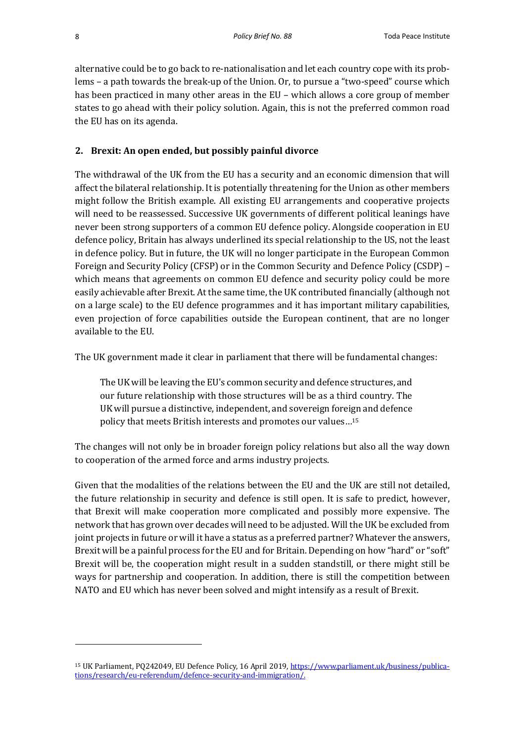alternative could be to go back to re-nationalisation and let each country cope with its problems - a path towards the break-up of the Union. Or, to pursue a "two-speed" course which has been practiced in many other areas in the EU – which allows a core group of member states to go ahead with their policy solution. Again, this is not the preferred common road the EU has on its agenda.

## **2. Brexit: An open ended, but possibly painful divorce**

The withdrawal of the UK from the EU has a security and an economic dimension that will affect the bilateral relationship. It is potentially threatening for the Union as other members might follow the British example. All existing EU arrangements and cooperative projects will need to be reassessed. Successive UK governments of different political leanings have never been strong supporters of a common EU defence policy. Alongside cooperation in EU defence policy, Britain has always underlined its special relationship to the US, not the least in defence policy. But in future, the UK will no longer participate in the European Common Foreign and Security Policy (CFSP) or in the Common Security and Defence Policy (CSDP) – which means that agreements on common EU defence and security policy could be more easily achievable after Brexit. At the same time, the UK contributed financially (although not on a large scale) to the EU defence programmes and it has important military capabilities, even projection of force capabilities outside the European continent, that are no longer available to the EU.

The UK government made it clear in parliament that there will be fundamental changes:

The UK will be leaving the EU's common security and defence structures, and our future relationship with those structures will be as a third country. The UK will pursue a distinctive, independent, and sovereign foreign and defence policy that meets British interests and promotes our values...<sup>15</sup>

The changes will not only be in broader foreign policy relations but also all the way down to cooperation of the armed force and arms industry projects.

Given that the modalities of the relations between the EU and the UK are still not detailed, the future relationship in security and defence is still open. It is safe to predict, however, that Brexit will make cooperation more complicated and possibly more expensive. The network that has grown over decades will need to be adjusted. Will the UK be excluded from joint projects in future or will it have a status as a preferred partner? Whatever the answers, Brexit will be a painful process for the EU and for Britain. Depending on how "hard" or "soft" Brexit will be, the cooperation might result in a sudden standstill, or there might still be ways for partnership and cooperation. In addition, there is still the competition between NATO and EU which has never been solved and might intensify as a result of Brexit.

<sup>&</sup>lt;sup>15</sup> UK Parliament, PQ242049, EU Defence Policy, 16 April 2019, https://www.parliament.uk/business/publications/research/eu-referendum/defence-security-and-immigration/.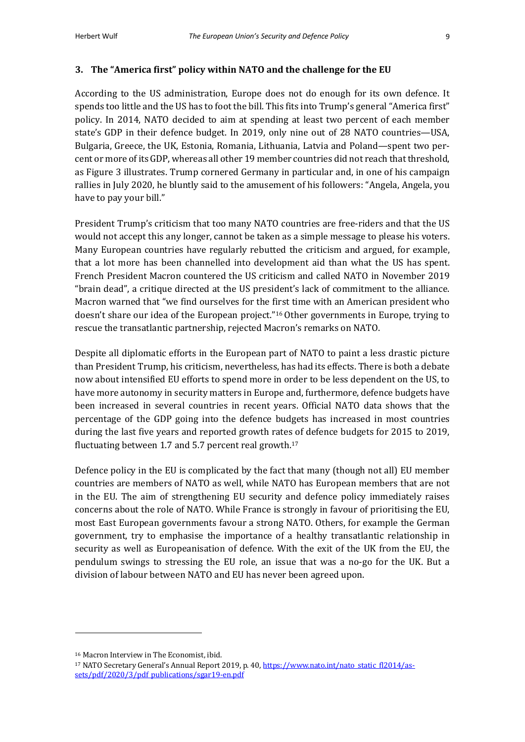#### **3.** The "America first" policy within NATO and the challenge for the EU

According to the US administration, Europe does not do enough for its own defence. It spends too little and the US has to foot the bill. This fits into Trump's general "America first" policy. In 2014, NATO decided to aim at spending at least two percent of each member state's GDP in their defence budget. In 2019, only nine out of 28 NATO countries—USA, Bulgaria, Greece, the UK, Estonia, Romania, Lithuania, Latvia and Poland—spent two percent or more of its GDP, whereas all other 19 member countries did not reach that threshold, as Figure 3 illustrates. Trump cornered Germany in particular and, in one of his campaign rallies in July 2020, he bluntly said to the amusement of his followers: "Angela, Angela, you have to pay your bill."

President Trump's criticism that too many NATO countries are free-riders and that the US would not accept this any longer, cannot be taken as a simple message to please his voters. Many European countries have regularly rebutted the criticism and argued, for example, that a lot more has been channelled into development aid than what the US has spent. French President Macron countered the US criticism and called NATO in November 2019 "brain dead", a critique directed at the US president's lack of commitment to the alliance. Macron warned that "we find ourselves for the first time with an American president who doesn't share our idea of the European project."<sup>16</sup> Other governments in Europe, trying to rescue the transatlantic partnership, rejected Macron's remarks on NATO.

Despite all diplomatic efforts in the European part of NATO to paint a less drastic picture than President Trump, his criticism, nevertheless, has had its effects. There is both a debate now about intensified EU efforts to spend more in order to be less dependent on the US, to have more autonomy in security matters in Europe and, furthermore, defence budgets have been increased in several countries in recent years. Official NATO data shows that the percentage of the GDP going into the defence budgets has increased in most countries during the last five years and reported growth rates of defence budgets for 2015 to 2019, fluctuating between 1.7 and 5.7 percent real growth.<sup>17</sup>

Defence policy in the EU is complicated by the fact that many (though not all) EU member countries are members of NATO as well, while NATO has European members that are not in the EU. The aim of strengthening EU security and defence policy immediately raises concerns about the role of NATO. While France is strongly in favour of prioritising the EU, most East European governments favour a strong NATO. Others, for example the German government, try to emphasise the importance of a healthy transatlantic relationship in security as well as Europeanisation of defence. With the exit of the UK from the EU, the pendulum swings to stressing the EU role, an issue that was a no-go for the UK. But a division of labour between NATO and EU has never been agreed upon.

<sup>&</sup>lt;sup>16</sup> Macron Interview in The Economist, ibid.

<sup>&</sup>lt;sup>17</sup> NATO Secretary General's Annual Report 2019, p. 40, https://www.nato.int/nato\_static\_fl2014/assets/pdf/2020/3/pdf\_publications/sgar19-en.pdf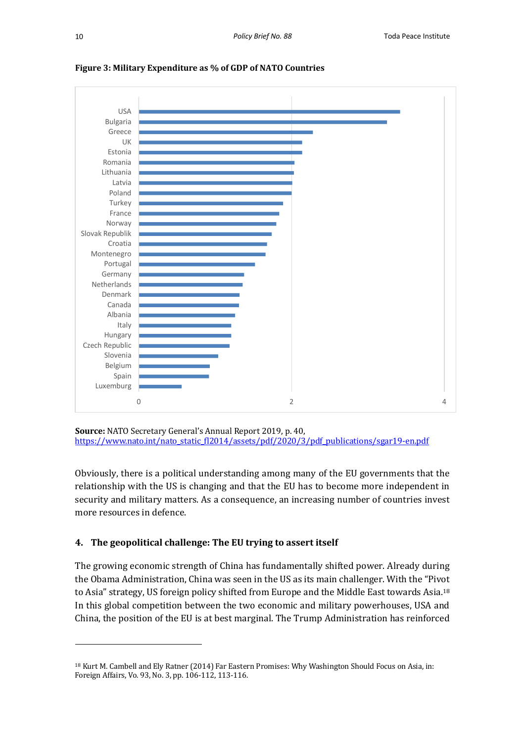



**Source:** NATO Secretary General's Annual Report 2019, p. 40, https://www.nato.int/nato\_static\_fl2014/assets/pdf/2020/3/pdf\_publications/sgar19-en.pdf

Obviously, there is a political understanding among many of the EU governments that the relationship with the US is changing and that the EU has to become more independent in security and military matters. As a consequence, an increasing number of countries invest more resources in defence.

## **4.** The geopolitical challenge: The EU trying to assert itself

The growing economic strength of China has fundamentally shifted power. Already during the Obama Administration, China was seen in the US as its main challenger. With the "Pivot" to Asia" strategy, US foreign policy shifted from Europe and the Middle East towards Asia.<sup>18</sup> In this global competition between the two economic and military powerhouses, USA and China, the position of the EU is at best marginal. The Trump Administration has reinforced

<sup>&</sup>lt;sup>18</sup> Kurt M. Cambell and Ely Ratner (2014) Far Eastern Promises: Why Washington Should Focus on Asia, in: Foreign Affairs, Vo. 93, No. 3, pp. 106-112, 113-116.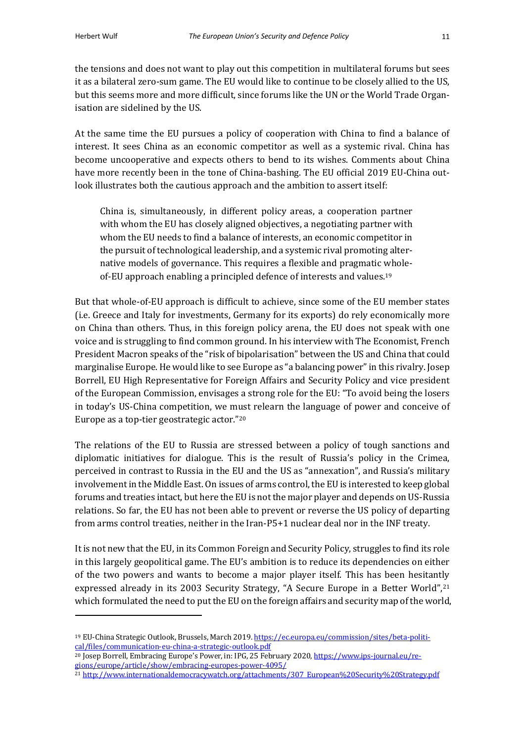the tensions and does not want to play out this competition in multilateral forums but sees it as a bilateral zero-sum game. The EU would like to continue to be closely allied to the US, but this seems more and more difficult, since forums like the UN or the World Trade Organisation are sidelined by the US.

At the same time the EU pursues a policy of cooperation with China to find a balance of interest. It sees China as an economic competitor as well as a systemic rival. China has become uncooperative and expects others to bend to its wishes. Comments about China have more recently been in the tone of China-bashing. The EU official 2019 EU-China outlook illustrates both the cautious approach and the ambition to assert itself:

China is, simultaneously, in different policy areas, a cooperation partner with whom the EU has closely aligned objectives, a negotiating partner with whom the EU needs to find a balance of interests, an economic competitor in the pursuit of technological leadership, and a systemic rival promoting alternative models of governance. This requires a flexible and pragmatic wholeof-EU approach enabling a principled defence of interests and values.<sup>19</sup>

But that whole-of-EU approach is difficult to achieve, since some of the EU member states (i.e. Greece and Italy for investments, Germany for its exports) do rely economically more on China than others. Thus, in this foreign policy arena, the EU does not speak with one voice and is struggling to find common ground. In his interview with The Economist, French President Macron speaks of the "risk of bipolarisation" between the US and China that could marginalise Europe. He would like to see Europe as "a balancing power" in this rivalry. Josep Borrell, EU High Representative for Foreign Affairs and Security Policy and vice president of the European Commission, envisages a strong role for the EU: "To avoid being the losers in today's US-China competition, we must relearn the language of power and conceive of Europe as a top-tier geostrategic actor."<sup>20</sup>

The relations of the EU to Russia are stressed between a policy of tough sanctions and diplomatic initiatives for dialogue. This is the result of Russia's policy in the Crimea, perceived in contrast to Russia in the EU and the US as "annexation", and Russia's military involvement in the Middle East. On issues of arms control, the EU is interested to keep global forums and treaties intact, but here the EU is not the major player and depends on US-Russia relations. So far, the EU has not been able to prevent or reverse the US policy of departing from arms control treaties, neither in the Iran-P5+1 nuclear deal nor in the INF treaty.

It is not new that the EU, in its Common Foreign and Security Policy, struggles to find its role in this largely geopolitical game. The EU's ambition is to reduce its dependencies on either of the two powers and wants to become a major player itself. This has been hesitantly expressed already in its 2003 Security Strategy, "A Secure Europe in a Better World",<sup>21</sup> which formulated the need to put the EU on the foreign affairs and security map of the world,

<sup>19</sup> EU-China Strategic Outlook, Brussels, March 2019. https://ec.europa.eu/commission/sites/beta-political/files/communication-eu-china-a-strategic-outlook.pdf

<sup>&</sup>lt;sup>20</sup> Josep Borrell, Embracing Europe's Power, in: IPG, 25 February 2020, https://www.ips-journal.eu/regions/europe/article/show/embracing-europes-power-4095/

<sup>21</sup> http://www.internationaldemocracywatch.org/attachments/307\_European%20Security%20Strategy.pdf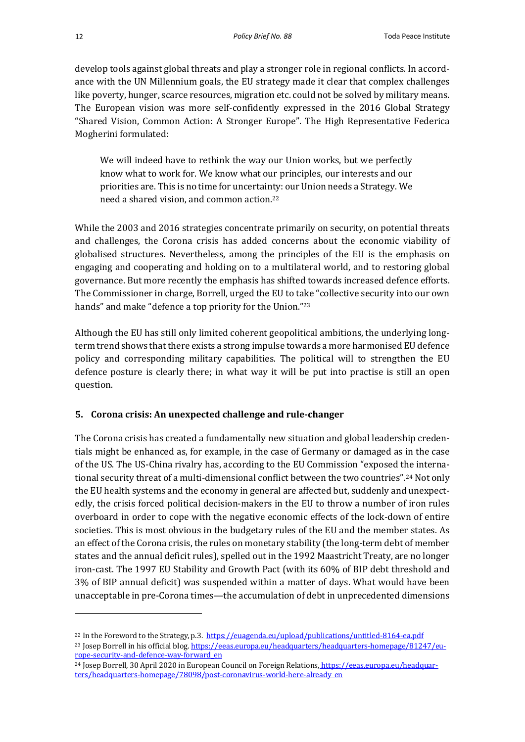develop tools against global threats and play a stronger role in regional conflicts. In accordance with the UN Millennium goals, the EU strategy made it clear that complex challenges like poverty, hunger, scarce resources, migration etc. could not be solved by military means. The European vision was more self-confidently expressed in the 2016 Global Strategy "Shared Vision, Common Action: A Stronger Europe". The High Representative Federica Mogherini formulated:

We will indeed have to rethink the way our Union works, but we perfectly know what to work for. We know what our principles, our interests and our priorities are. This is no time for uncertainty: our Union needs a Strategy. We need a shared vision, and common action.<sup>22</sup>

While the 2003 and 2016 strategies concentrate primarily on security, on potential threats and challenges, the Corona crisis has added concerns about the economic viability of globalised structures. Nevertheless, among the principles of the EU is the emphasis on engaging and cooperating and holding on to a multilateral world, and to restoring global governance. But more recently the emphasis has shifted towards increased defence efforts. The Commissioner in charge, Borrell, urged the EU to take "collective security into our own hands" and make "defence a top priority for the Union."23

Although the EU has still only limited coherent geopolitical ambitions, the underlying longterm trend shows that there exists a strong impulse towards a more harmonised EU defence policy and corresponding military capabilities. The political will to strengthen the EU defence posture is clearly there; in what way it will be put into practise is still an open question. 

## **5. Corona crisis: An unexpected challenge and rule-changer**

The Corona crisis has created a fundamentally new situation and global leadership credentials might be enhanced as, for example, in the case of Germany or damaged as in the case of the US. The US-China rivalry has, according to the EU Commission "exposed the international security threat of a multi-dimensional conflict between the two countries".<sup>24</sup> Not only the EU health systems and the economy in general are affected but, suddenly and unexpectedly, the crisis forced political decision-makers in the EU to throw a number of iron rules overboard in order to cope with the negative economic effects of the lock-down of entire societies. This is most obvious in the budgetary rules of the EU and the member states. As an effect of the Corona crisis, the rules on monetary stability (the long-term debt of member states and the annual deficit rules), spelled out in the 1992 Maastricht Treaty, are no longer iron-cast. The 1997 EU Stability and Growth Pact (with its 60% of BIP debt threshold and 3% of BIP annual deficit) was suspended within a matter of days. What would have been unacceptable in pre-Corona times—the accumulation of debt in unprecedented dimensions

<sup>&</sup>lt;sup>22</sup> In the Foreword to the Strategy, p.3. https://euagenda.eu/upload/publications/untitled-8164-ea.pdf <sup>23</sup> Josep Borrell in his official blog. https://eeas.europa.eu/headquarters/headquarters-homepage/81247/europe-security-and-defence-way-forward\_en

<sup>&</sup>lt;sup>24</sup> Josep Borrell, 30 April 2020 in European Council on Foreign Relations, https://eeas.europa.eu/headquarters/headquarters-homepage/78098/post-coronavirus-world-here-already\_en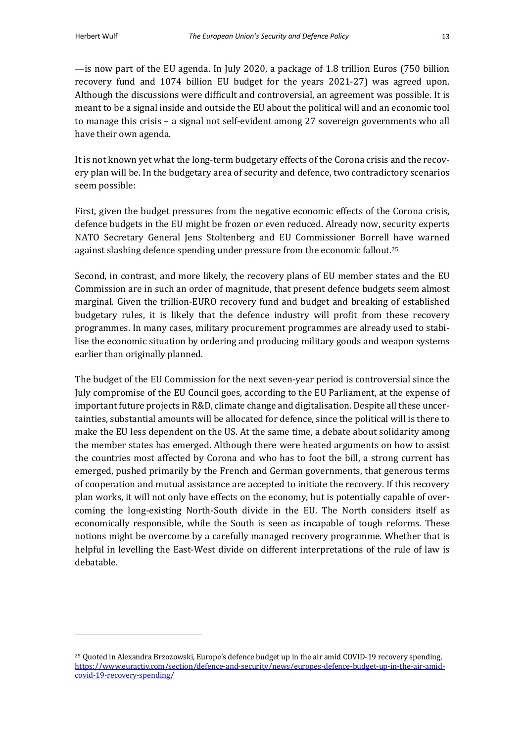$\sim$  is now part of the EU agenda. In July 2020, a package of 1.8 trillion Euros (750 billion recovery fund and 1074 billion EU budget for the years 2021-27) was agreed upon. Although the discussions were difficult and controversial, an agreement was possible. It is meant to be a signal inside and outside the EU about the political will and an economic tool to manage this crisis  $-$  a signal not self-evident among 27 sovereign governments who all have their own agenda.

It is not known yet what the long-term budgetary effects of the Corona crisis and the recovery plan will be. In the budgetary area of security and defence, two contradictory scenarios seem possible:

First, given the budget pressures from the negative economic effects of the Corona crisis, defence budgets in the EU might be frozen or even reduced. Already now, security experts NATO Secretary General Jens Stoltenberg and EU Commissioner Borrell have warned against slashing defence spending under pressure from the economic fallout.<sup>25</sup>

Second, in contrast, and more likely, the recovery plans of EU member states and the EU Commission are in such an order of magnitude, that present defence budgets seem almost marginal. Given the trillion-EURO recovery fund and budget and breaking of established budgetary rules, it is likely that the defence industry will profit from these recovery programmes. In many cases, military procurement programmes are already used to stabilise the economic situation by ordering and producing military goods and weapon systems earlier than originally planned.

The budget of the EU Commission for the next seven-year period is controversial since the July compromise of the EU Council goes, according to the EU Parliament, at the expense of important future projects in R&D, climate change and digitalisation. Despite all these uncertainties, substantial amounts will be allocated for defence, since the political will is there to make the EU less dependent on the US. At the same time, a debate about solidarity among the member states has emerged. Although there were heated arguments on how to assist the countries most affected by Corona and who has to foot the bill, a strong current has emerged, pushed primarily by the French and German governments, that generous terms of cooperation and mutual assistance are accepted to initiate the recovery. If this recovery plan works, it will not only have effects on the economy, but is potentially capable of overcoming the long-existing North-South divide in the EU. The North considers itself as economically responsible, while the South is seen as incapable of tough reforms. These notions might be overcome by a carefully managed recovery programme. Whether that is helpful in levelling the East-West divide on different interpretations of the rule of law is debatable. 

<sup>&</sup>lt;sup>25</sup> Quoted in Alexandra Brzozowski, Europe's defence budget up in the air amid COVID-19 recovery spending, https://www.euractiv.com/section/defence-and-security/news/europes-defence-budget-up-in-the-air-amidcovid-19-recovery-spending/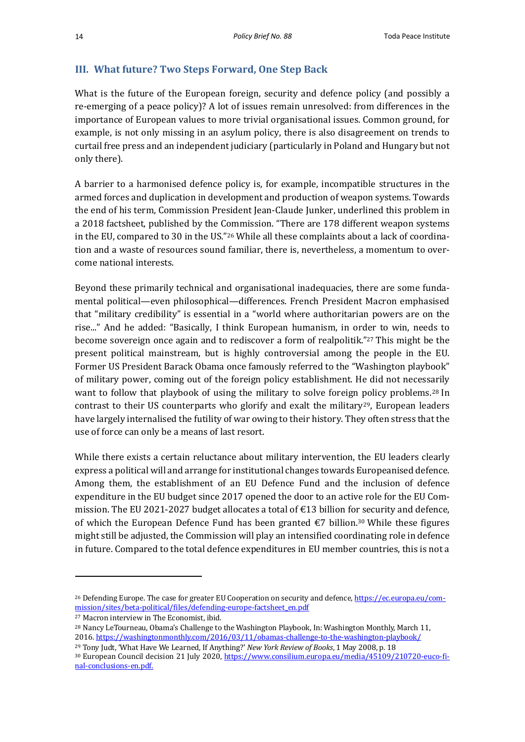## **III.** What future? Two Steps Forward, One Step Back

What is the future of the European foreign, security and defence policy (and possibly a re-emerging of a peace policy)? A lot of issues remain unresolved: from differences in the importance of European values to more trivial organisational issues. Common ground, for example, is not only missing in an asylum policy, there is also disagreement on trends to curtail free press and an independent judiciary (particularly in Poland and Hungary but not only there).

A barrier to a harmonised defence policy is, for example, incompatible structures in the armed forces and duplication in development and production of weapon systems. Towards the end of his term, Commission President Jean-Claude Junker, underlined this problem in a 2018 factsheet, published by the Commission. "There are 178 different weapon systems in the EU, compared to 30 in the US."<sup>26</sup> While all these complaints about a lack of coordination and a waste of resources sound familiar, there is, nevertheless, a momentum to overcome national interests.

Beyond these primarily technical and organisational inadequacies, there are some fundamental political—even philosophical—differences. French President Macron emphasised that "military credibility" is essential in a "world where authoritarian powers are on the rise..." And he added: "Basically, I think European humanism, in order to win, needs to become sovereign once again and to rediscover a form of realpolitik."<sup>27</sup> This might be the present political mainstream, but is highly controversial among the people in the EU. Former US President Barack Obama once famously referred to the "Washington playbook" of military power, coming out of the foreign policy establishment. He did not necessarily want to follow that playbook of using the military to solve foreign policy problems.<sup>28</sup> In contrast to their US counterparts who glorify and exalt the military<sup>29</sup>, European leaders have largely internalised the futility of war owing to their history. They often stress that the use of force can only be a means of last resort.

While there exists a certain reluctance about military intervention, the EU leaders clearly express a political will and arrange for institutional changes towards Europeanised defence. Among them, the establishment of an EU Defence Fund and the inclusion of defence expenditure in the EU budget since 2017 opened the door to an active role for the EU Commission. The EU 2021-2027 budget allocates a total of  $\epsilon$ 13 billion for security and defence, of which the European Defence Fund has been granted  $\epsilon$ 7 billion.<sup>30</sup> While these figures might still be adjusted, the Commission will play an intensified coordinating role in defence in future. Compared to the total defence expenditures in EU member countries, this is not a

<sup>&</sup>lt;sup>26</sup> Defending Europe. The case for greater EU Cooperation on security and defence, https://ec.europa.eu/commission/sites/beta-political/files/defending-europe-factsheet\_en.pdf

<sup>&</sup>lt;sup>27</sup> Macron interview in The Economist, ibid.

<sup>&</sup>lt;sup>28</sup> Nancy LeTourneau, Obama's Challenge to the Washington Playbook, In: Washington Monthly, March 11, 2016. https://washingtonmonthly.com/2016/03/11/obamas-challenge-to-the-washington-playbook/

<sup>&</sup>lt;sup>29</sup> Tony Judt, 'What Have We Learned, If Anything?' *New York Review of Books*, 1 May 2008, p. 18

<sup>&</sup>lt;sup>30</sup> European Council decision 21 July 2020, https://www.consilium.europa.eu/media/45109/210720-euco-final-conclusions-en.pdf.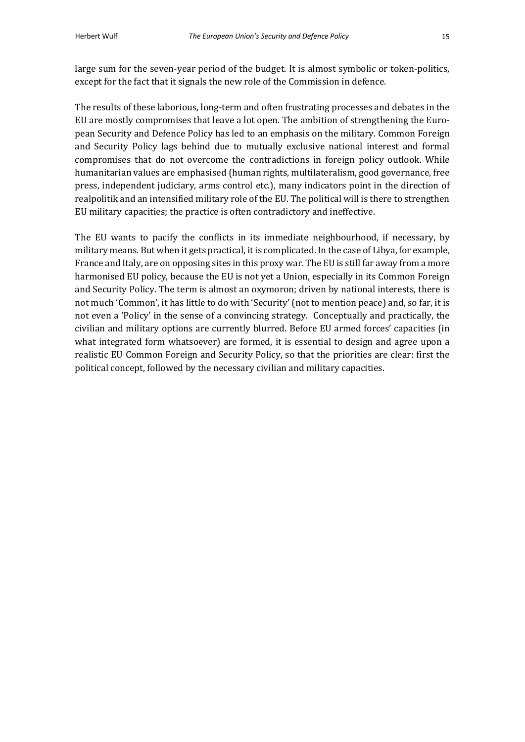large sum for the seven-year period of the budget. It is almost symbolic or token-politics, except for the fact that it signals the new role of the Commission in defence.

The results of these laborious, long-term and often frustrating processes and debates in the EU are mostly compromises that leave a lot open. The ambition of strengthening the European Security and Defence Policy has led to an emphasis on the military. Common Foreign and Security Policy lags behind due to mutually exclusive national interest and formal compromises that do not overcome the contradictions in foreign policy outlook. While humanitarian values are emphasised (human rights, multilateralism, good governance, free press, independent judiciary, arms control etc.), many indicators point in the direction of realpolitik and an intensified military role of the EU. The political will is there to strengthen EU military capacities; the practice is often contradictory and ineffective.

The EU wants to pacify the conflicts in its immediate neighbourhood, if necessary, by military means. But when it gets practical, it is complicated. In the case of Libya, for example, France and Italy, are on opposing sites in this proxy war. The EU is still far away from a more harmonised EU policy, because the EU is not yet a Union, especially in its Common Foreign and Security Policy. The term is almost an oxymoron; driven by national interests, there is not much 'Common', it has little to do with 'Security' (not to mention peace) and, so far, it is not even a 'Policy' in the sense of a convincing strategy. Conceptually and practically, the civilian and military options are currently blurred. Before EU armed forces' capacities (in what integrated form whatsoever) are formed, it is essential to design and agree upon a realistic EU Common Foreign and Security Policy, so that the priorities are clear: first the political concept, followed by the necessary civilian and military capacities.